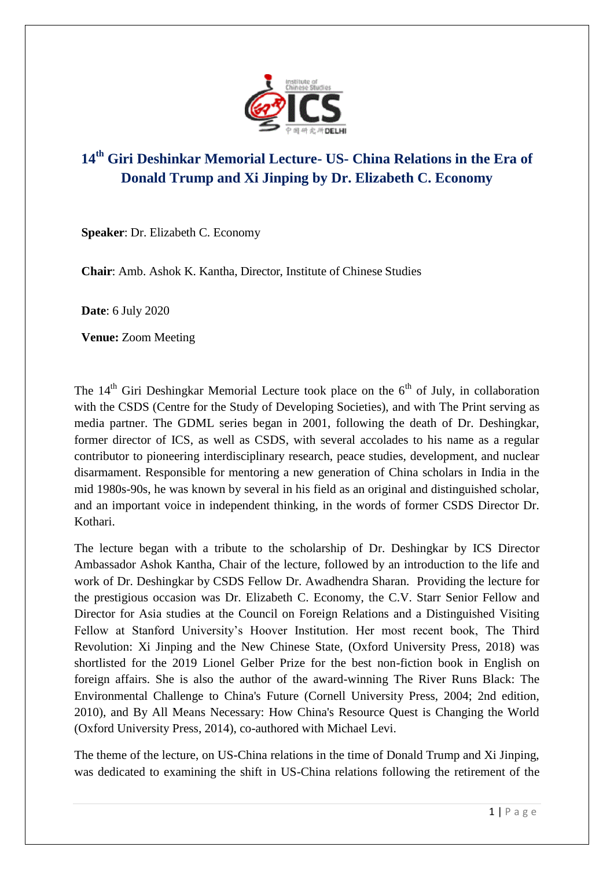

## **14th Giri Deshinkar Memorial Lecture- US- China Relations in the Era of Donald Trump and Xi Jinping by Dr. Elizabeth C. Economy**

**Speaker**: Dr. Elizabeth C. Economy

**Chair**: Amb. Ashok K. Kantha, Director, Institute of Chinese Studies

**Date**: 6 July 2020

**Venue:** Zoom Meeting

The  $14<sup>th</sup>$  Giri Deshingkar Memorial Lecture took place on the  $6<sup>th</sup>$  of July, in collaboration with the CSDS (Centre for the Study of Developing Societies), and with The Print serving as media partner. The GDML series began in 2001, following the death of Dr. Deshingkar, former director of ICS, as well as CSDS, with several accolades to his name as a regular contributor to pioneering interdisciplinary research, peace studies, development, and nuclear disarmament. Responsible for mentoring a new generation of China scholars in India in the mid 1980s-90s, he was known by several in his field as an original and distinguished scholar, and an important voice in independent thinking, in the words of former CSDS Director Dr. Kothari.

The lecture began with a tribute to the scholarship of Dr. Deshingkar by ICS Director Ambassador Ashok Kantha, Chair of the lecture, followed by an introduction to the life and work of Dr. Deshingkar by CSDS Fellow Dr. Awadhendra Sharan. Providing the lecture for the prestigious occasion was Dr. Elizabeth C. Economy, the C.V. Starr Senior Fellow and Director for Asia studies at the Council on Foreign Relations and a Distinguished Visiting Fellow at Stanford University's Hoover Institution. Her most recent book, The Third Revolution: Xi Jinping and the New Chinese State, (Oxford University Press, 2018) was shortlisted for the 2019 Lionel Gelber Prize for the best non-fiction book in English on foreign affairs. She is also the author of the award-winning The River Runs Black: The Environmental Challenge to China's Future (Cornell University Press, 2004; 2nd edition, 2010), and By All Means Necessary: How China's Resource Quest is Changing the World (Oxford University Press, 2014), co-authored with Michael Levi.

The theme of the lecture, on US-China relations in the time of Donald Trump and Xi Jinping, was dedicated to examining the shift in US-China relations following the retirement of the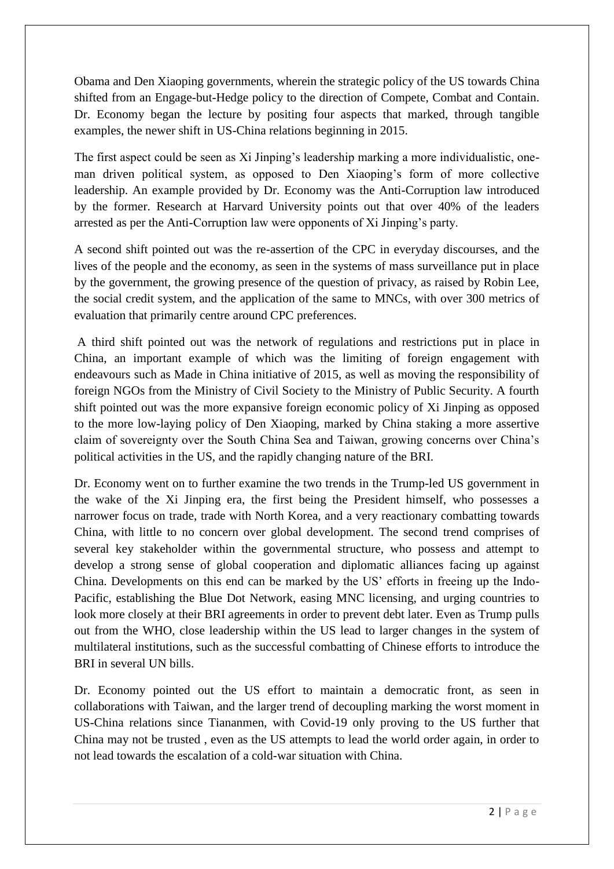Obama and Den Xiaoping governments, wherein the strategic policy of the US towards China shifted from an Engage-but-Hedge policy to the direction of Compete, Combat and Contain. Dr. Economy began the lecture by positing four aspects that marked, through tangible examples, the newer shift in US-China relations beginning in 2015.

The first aspect could be seen as Xi Jinping's leadership marking a more individualistic, oneman driven political system, as opposed to Den Xiaoping's form of more collective leadership. An example provided by Dr. Economy was the Anti-Corruption law introduced by the former. Research at Harvard University points out that over 40% of the leaders arrested as per the Anti-Corruption law were opponents of Xi Jinping's party.

A second shift pointed out was the re-assertion of the CPC in everyday discourses, and the lives of the people and the economy, as seen in the systems of mass surveillance put in place by the government, the growing presence of the question of privacy, as raised by Robin Lee, the social credit system, and the application of the same to MNCs, with over 300 metrics of evaluation that primarily centre around CPC preferences.

A third shift pointed out was the network of regulations and restrictions put in place in China, an important example of which was the limiting of foreign engagement with endeavours such as Made in China initiative of 2015, as well as moving the responsibility of foreign NGOs from the Ministry of Civil Society to the Ministry of Public Security. A fourth shift pointed out was the more expansive foreign economic policy of Xi Jinping as opposed to the more low-laying policy of Den Xiaoping, marked by China staking a more assertive claim of sovereignty over the South China Sea and Taiwan, growing concerns over China's political activities in the US, and the rapidly changing nature of the BRI.

Dr. Economy went on to further examine the two trends in the Trump-led US government in the wake of the Xi Jinping era, the first being the President himself, who possesses a narrower focus on trade, trade with North Korea, and a very reactionary combatting towards China, with little to no concern over global development. The second trend comprises of several key stakeholder within the governmental structure, who possess and attempt to develop a strong sense of global cooperation and diplomatic alliances facing up against China. Developments on this end can be marked by the US' efforts in freeing up the Indo-Pacific, establishing the Blue Dot Network, easing MNC licensing, and urging countries to look more closely at their BRI agreements in order to prevent debt later. Even as Trump pulls out from the WHO, close leadership within the US lead to larger changes in the system of multilateral institutions, such as the successful combatting of Chinese efforts to introduce the BRI in several UN bills.

Dr. Economy pointed out the US effort to maintain a democratic front, as seen in collaborations with Taiwan, and the larger trend of decoupling marking the worst moment in US-China relations since Tiananmen, with Covid-19 only proving to the US further that China may not be trusted , even as the US attempts to lead the world order again, in order to not lead towards the escalation of a cold-war situation with China.